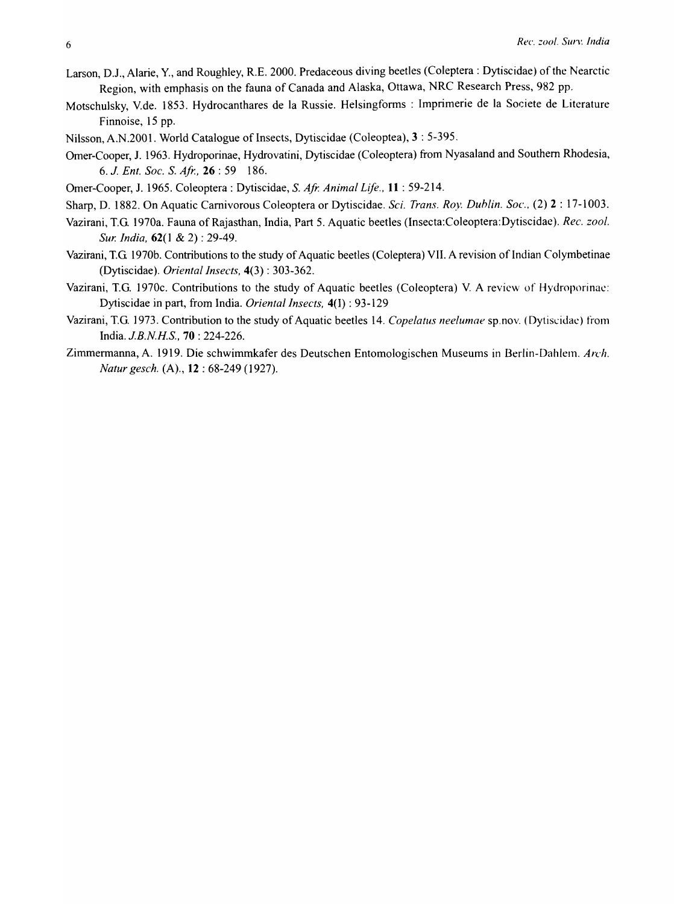- Larson, D.1., Alarie, Y., and Roughley, R.E. 2000. Predaceous diving beetles (Coleptera : Dytiscidae) of the Nearctic Region, with emphasis on the fauna of Canada and Alaska, Ottawa, NRC Research Press, 982 pp.
- Motschulsky, V.de. 1853. Hydrocanthares de la Russie. Helsingforms : Imprimerie de la Societe de Literature Finnoise, 15 pp.
- Nilsson, A.N.200l. World Catalogue of Insects, Dytiscidae (Coleoptea), 3 : 5-395.
- Orner-Cooper, 1. 1963. Hydroporinae, Hydrovatini, Dytiscidae (Coleoptera) from Nyasaland and Southern Rhodesia, *6. J. Ent. Soc.* S. *Afr.,* **26** : 59 186.
- Orner-Cooper, 1. 1965. Coleoptera: Dytiscidae, S. *Afr. Animal Life.,* **11** : 59-214.
- Sharp, D. 1882. On Aquatic Carnivorous Coleoptera or Dytiscidae. *Sci. Trans. Roy. Duhlin. Soc.,* (2) 2 : 17-1003.
- Vazirani, T.G. 1970a. Fauna of Rajasthan, India, Part 5. Aquatic beetles (Insecta:Coleoptera:Dytiscidae). *Rec. zoo!. Sur. India,* 62(1 & 2) : 29-49.
- Vazirani, T.G 1970b. Contributions to the study of Aquatic beetles (Coleptera) VII. A revision of Indian Colymbetinae (Dytiscidae). *Oriental Insects,* 4(3) : 303-362.
- Vazirani, T.G. 1970c. Contributions to the study of Aquatic beetles (Coleoptera) V. A review of Hydroporinac: Dytiscidae in part, from India. *Oriental Insects,* 4(I) : 93-129
- Vazirani, T.G. 1973. Contribution to the study of Aquatic beetles 14. *Copelatus neelumae* sp.nov. (Dytiscidac) from India. *J.B.N.H.S.,* **70** : 224-226.
- Zimmermanna, A. 1919. Die schwimmkafer des Deutschen Entomologischen Museums in Berlin-Dahlem. Arch. *Natur gesch.* (A)., **12** : 68-249 (1927).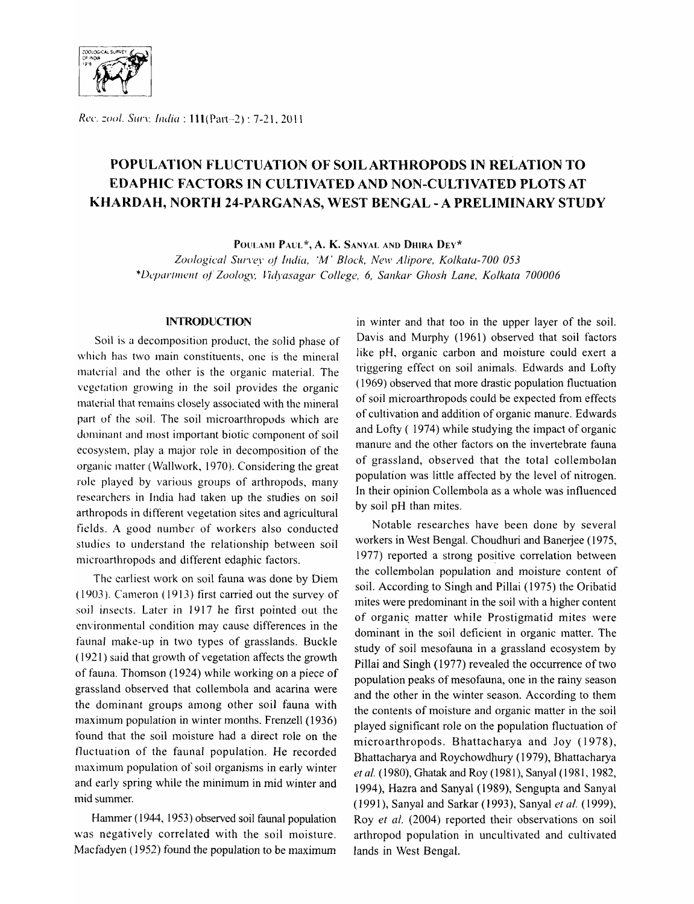

Rec. zool. Surv. *India*: 111(Part-2): 7-21, 2011

# **POPULATION FLUCTUATION OF** SOIL ARTHROPODS **IN RELATION TO EDAPHIC FACTORS IN CULTIVATED AND NON-CULTIVATED PLOTS AT KHARDAH, NORTH 24-PARGANAS, WEST BENGAL - A PRELIMINARY STUDY**

POULAMI PAUL\*, A. K. SANYAL AND DHIRA DEY\*

Zoological Survey of *India, 'M' Block, New Alipore, Kolkata-700 053* \*Deparllll<!llt q/ *Zoolo61J:* ~7(~}'asagar *College,* 6, *Sankar Ghosh Lane, Kolkata 700006* 

#### **INTRODUCTION**

Soil is a decomposition product, the solid phase of which has two main constituents, one is the mineral material and the other is the organic material. The vcgctation growing in the soil provides the organic material that remains closely associated with the mineral part of the soil. The soil microarthropods which are dominant and most important biotic component of soil ecosystem, playa major role in decomposition of the organic matter (Wallwork, 1970). Considering the great role played by various groups of arthropods, many researchers in India had taken up the studies on soil arthropods in different vegetation sites and agricultural fields. A good number of workers also conducted studies to understand the relationship between soil microarthropods and different edaphic factors.

The earliest work on soil fauna was done by Diem  $(1903)$ . Cameron  $(1913)$  first carried out the survey of soil insects. Later in 1917 he first pointed out the environmental condition may cause differences in the faunal make-up in two types of grasslands. Buckle (1921) said that growth of vegetation affects the growth of fauna. Thomson (1924) while working on a piece of grassland observed that collembola and acarina were the dominant groups among other soil fauna with maximum population in winter months. Frenzell (1936) found that the soil moisture had a direct role on the fluctuation of the faunal population. He recorded maximum population of soil organjsms in early winter and early spring while the minimum in mid winter and mid summer.

Hammer (1944, 1953) observed soil faunal population was negatively correlated with the soil moisture. Macfadyen (1952) found the population to be maximum in winter and that too in the upper layer of the soil. Davis and Murphy (1961) observed that soil factors like pH, organic carbon and moisture could exert a triggering effect on soil animals. Edwards and Lofty (1969) observed that more drastic population fluctuation of soil microarthropods could be expected from effects of cultivation and addition of organic manure. Edwards and Lofty ( 1974) while studying the impact of organic manure and the other factors on the invertebrate fauna of grassland, observed that the total collembolan population was little affected by the level of nitrogen. In their opinion Collembola as a whole was influenced by soil pH than mites.

Notable researches have been done by several workers in West Bengal. Choudhuri and Banerjee (1975, 1977) reported a strong positive correlation between the collembolan population and moisture content of soil. According to Singh and Pillai (1975) the Oribatid mites were predominant in the soil with a higher content of organic matter while Prostigmatid mites were dominant in the soil deficient in organic matter. The study of soil mesofauna in a grassland ecosystem by Pillai and Singh (1977) revealed the occurrence of two population peaks of mesofauna, one in the rainy season and the other in the winter season. According to them the contents of moisture and organic matter in the soil played significant role on the population fluctuation of microarthropods. Bhattacharya and Joy (1978), Bhattacharya and Roychowdhury (1979), Bhattacharya *et al.* (1980), Ghatak and Roy (1981), Sanyal (1981, 1982, 1994), Hazra and Sanyal (1989), Sengupta and Sanyal (1991), Sanyal and Sarkar (1993), Sanyal *et al.* (1999), Roy *et al.* (2004) reported their observations on soil arthropod population in uncultivated and cultivated lands in West Bengal.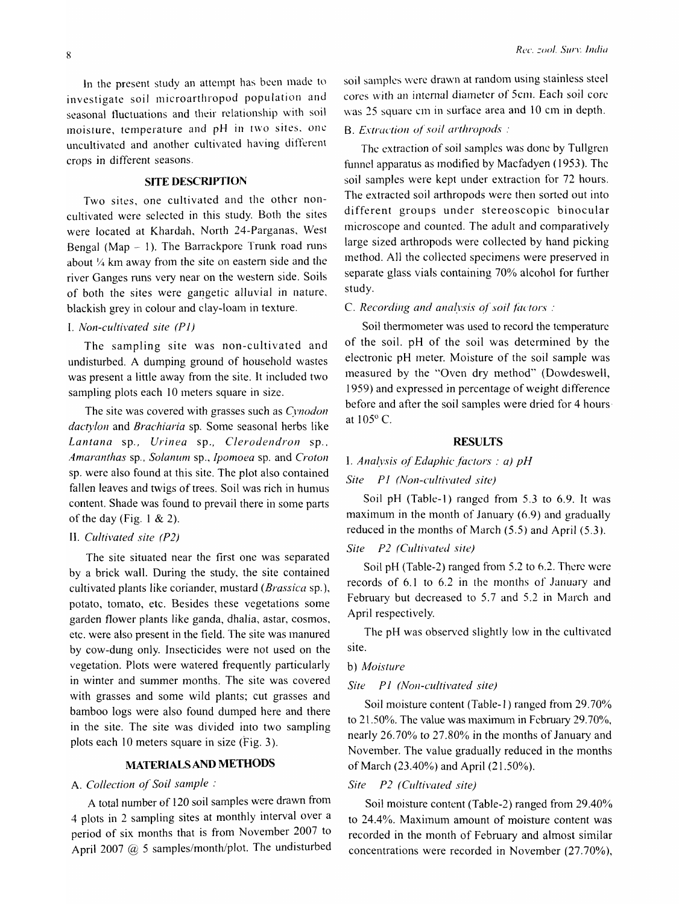In the present study an attempt has bcen made to investigate soil microarthropod population and seasonal tluctuations and their relationship with soil moisture, temperature and pH in two sites, one uncultivated and another cultivated having different crops in different seasons.

#### **SITE DESCRIPTION**

Two sites, one cultivated and the other noncultivated were selected in this study. Both the sites were located at Khardah, North 24-Parganas, West Bengal (Map - 1). The Barrackpore Trunk road runs about  $\frac{1}{4}$  km away from the site on eastern side and the river Ganges runs very near on the western side. Soils of both the sites were gangetic alluvial in nature, blackish grey in colour and clay-loam in texture.

# I. *Non-cultivated site (P* 1)

The sampling site was non-cultivated and undisturbed. A dumping ground of household wastes was present a little away from the site. It included two sampling plots each 10 meters square in size.

The site was covered with grasses such as *Cynodon*  dactylon and *Brachiaria* sp. Some seasonal herbs like *Lantana* sp., *Urinea* sp., *Clerodendron* sp .. *Amaranthas sp., Solanum sp., Ipomoea sp. and Croton* sp. were also found at this site. The plot also contained fallen leaves and twigs of trees. Soil was rich in humus content. Shade was found to prevail there in some parts of the day (Fig.  $1 \& 2$ ).

#### II. *Cultivated site (P2)*

The site situated near the first one was separated by a brick wall. During the study, the site contained cultivated plants like coriander, mustard *(Brassica* sp.), potato, tomato, etc. Besides these vegetations some garden flower plants like ganda, dhalia, astar, cosmos, etc. were also present in the field. The site was manured by cow-dung only. Insecticides were not used on the vegetation. Plots were watered frequently particularly in winter and summer months. The site was covered with grasses and some wild plants; cut grasses and bamboo logs were also found dumped here and there in the site. The site was divided into two sampling plots each 10 meters square in size (Fig. 3).

# MATERIALS AND **METHODS**

# A. *Collection of Soil sample:*

A total number of 120 soil samples were drawn from 4 plots in 2 sampling sites at monthly interval over a period of six months that is from November 2007 to April 2007 @ 5 samples/month/plot. The undisturbed soil samples wcrc drawn at random using stainless steel cores with an internal diameter of 5cm. Each soil core was 25 squarc cm in surface area and 10 cm in depth.

## B. *Extraction of soil arthropods*:

The cxtraction of soil samples was done by Tullgren funnel apparatus as modified by Macfadyen (1953). Thc soil samples were kept under extraction for 72 hours. The extracted soil arthropods were then sorted out into different groups under stereoscopic binocular microscope and counted. The adult and comparatively large sized arthropods were collected by hand picking method. All the collected specimens were preserved in separate glass vials containing 70% alcohol for further study.

C. *Recording and analysis of soil factors :* 

Soil thermometer was used to record the tcmperaturc of the soil. pH of the soil was detennined by the electronic pH meter. Moisture of the soil sample was measured by the "Oven dry method" (Dowdeswell, 1959) and expressed in percentage of weight difference before and after the soil samples were dried for 4 hours at 105° C.

#### **RESULTS**

# I. *Analysis of Edaphic factors: a) pH*

### *Site* PI *(NOll-cultivated site)*

Soil pH (Table-I) ranged from 5.3 to 6.9. It was maximum in the month of January  $(6.9)$  and gradually reduced in the months of March (5.5) and April (5.3).

# *Site P2 (Cultivated site)*

Soil pH (Table-2) ranged from 5.2 to 6.2. Therc were records of 6.1 to 6.2 in the months of January and February but decreased to 5.7 and 5.2 in March and April respectively.

The pH was observed slightly low in the cultivated site.

#### b) *Moisture*

#### *Site* PI *(NOll-cultivated site)*

Soil moisture content (Table-1) ranged from 29.70% to  $21.50\%$ . The value was maximum in February 29.70%, nearly  $26.70\%$  to  $27.80\%$  in the months of January and November. The value gradually reduced in the months of March  $(23.40\%)$  and April  $(21.50\%)$ .

# *Site P2 (Cultivated site)*

Soil moisture content (Table-2) ranged from 29.40% to 24.4%. Maximum amount of moisture content was recorded in the month of February and almost similar concentrations were recorded in November  $(27.70\%)$ ,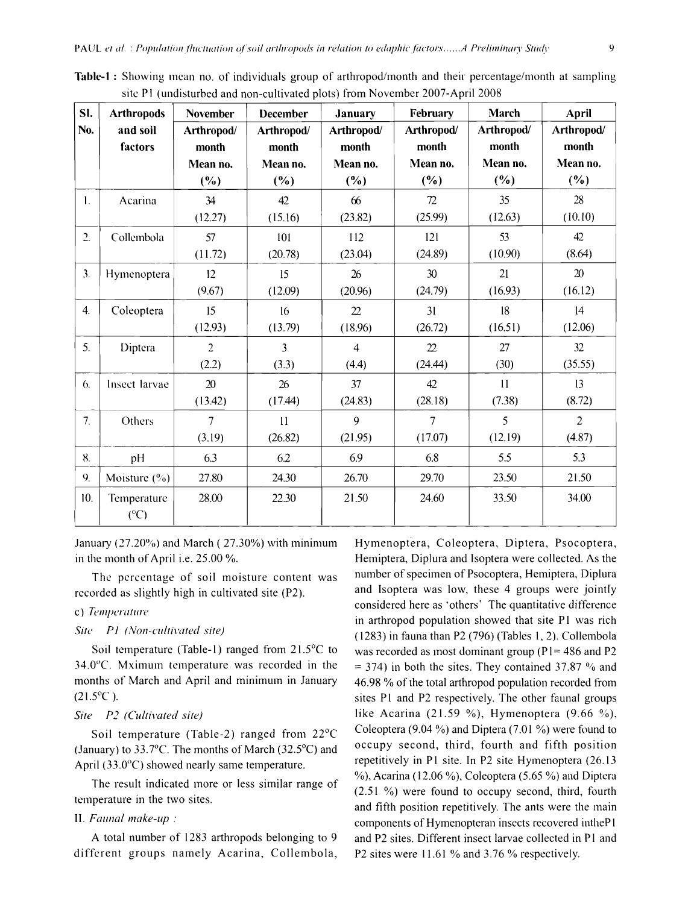| Sl.              | <b>Arthropods</b>  | <b>November</b> | <b>December</b> | <b>January</b> | February       | March      | April          |  |
|------------------|--------------------|-----------------|-----------------|----------------|----------------|------------|----------------|--|
| No.              | and soil           | Arthropod/      | Arthropod/      | Arthropod/     | Arthropod/     | Arthropod/ | Arthropod/     |  |
|                  | factors            | month           | month           | month          | month          | month      | month          |  |
|                  |                    | Mean no.        | Mean no.        | Mean no.       | Mean no.       | Mean no.   | Mean no.       |  |
|                  |                    | (%)             | (%)             | $(\%)$         | (%)            | (%)        | (%)            |  |
| 1.               | Acarina            | 34              | 42              | 66             | 72             | 35         | 28             |  |
|                  |                    | (12.27)         | (15.16)         | (23.82)        | (25.99)        | (12.63)    | (10.10)        |  |
| $\overline{2}$ . | Collembola         | 57              | 101             | 112            | 121            | 53         | 42             |  |
|                  |                    | (11.72)         | (20.78)         | (23.04)        | (24.89)        | (10.90)    | (8.64)         |  |
| 3.               | Hymenoptera        | 12              | 15              | 26             | 30             | 21         | 20             |  |
|                  |                    | (9.67)          | (12.09)         | (20.96)        | (24.79)        | (16.93)    | (16.12)        |  |
| $\overline{4}$ . | Coleoptera         | 15              | 16              | 22             | 31             | 18         | 14             |  |
|                  |                    | (12.93)         | (13.79)         | (18.96)        | (26.72)        | (16.51)    | (12.06)        |  |
| 5.               | Diptera            | $\overline{2}$  | 3               | $\overline{4}$ | 22             | 27         | 32             |  |
|                  |                    | (2.2)           | (3.3)           | (4.4)          | (24.44)        | (30)       | (35.55)        |  |
| 6.               | Insect larvae      | 20              | 26              | 37             | 42             | 11         | 13             |  |
|                  |                    | (13.42)         | (17.44)         | (24.83)        | (28.18)        | (7.38)     | (8.72)         |  |
| 7.               | Others             | $\overline{7}$  | 11              | 9              | $\overline{7}$ | 5          | $\overline{2}$ |  |
|                  |                    | (3.19)          | (26.82)         | (21.95)        | (17.07)        | (12.19)    | (4.87)         |  |
| 8.               | pH                 | 6.3             | 6.2             | 6.9            | 6.8            | 5.5        | 5.3            |  |
| 9 <sub>1</sub>   | Moisture $(\%)$    | 27.80           | 24.30           | 26.70          | 29.70          | 23.50      | 21.50          |  |
| 10.              | Temperature<br>(C) | 28.00           | 22.30           | 21.50          | 24.60          | 33.50      | 34.00          |  |

Table-I: Showing mean no. of individuals group of arthropod/month and their percentage/month at sampling site P1 (undisturbed and non-cultivated plots) from November 2007-April 2008

January (27.20%) and March ( $27.30%$ ) with minimum in the month of April i.e.  $25.00\%$ .

The percentage of soil moisture content was recorded as slightly high in cultivated site (P2).

# c) Temperature

#### *Site P1 (Non-cultivated site)*

Soil temperature (Table-I) ranged from 21.5°C to  $34.0^{\circ}$ C. Mximum temperature was recorded in the months of March and April and minimum in January  $(21.5^{\circ}C)$ .

#### *Site P2 (Cultivated site)*

Soil temperature (Table-2) ranged from 22°C (January) to 33.7°C. The months of March (32.5°C) and April (33.0°C) showed nearly same temperature.

The result indicated more or less similar range of temperature in the two sites.

#### II. *Faunal make-up:*

A total number of 1283 arthropods belonging to 9 different groups namely Acarina, Collembola,

Hymenoptera, Coleoptera, Diptera, Psocoptera, Hemiptera, Diplura and Isoptera were collected. As the number of specimen of Psocoptera, Hemiptera, Diplura and Isoptera was low, these 4 groups were jointly considered here as 'others' The quantitative difference in arthropod population showed that site PI was rich (1283) in fauna than P2 (796) (Tables 1,2). Collembola was recorded as most dominant group ( $P1 = 486$  and P2  $=$  374) in both the sites. They contained 37.87  $\%$  and 46.98 % of the total arthropod population recorded from sites PI and P2 respectively. The other faunal groups like Acarina (21.59 %), Hymenoptera (9.66 %), Coleoptera (9.04  $\%$ ) and Diptera (7.01  $\%$ ) were found to occupy second, third, fourth and fifth position repetitively in PI site. In P2 site Hymenoptera (26.13 %), Acarina (12.06 %), Coleoptera (5.65 %) and Diptera (2.51 %) were found to occupy second, third, fourth and fifth position repetitively. The ants were the main components of Hymenopteran insects recovered intheP 1 and P2 sites. Different insect larvae collected in PI and P2 sites were 11.61 % and 3.76 % respectively.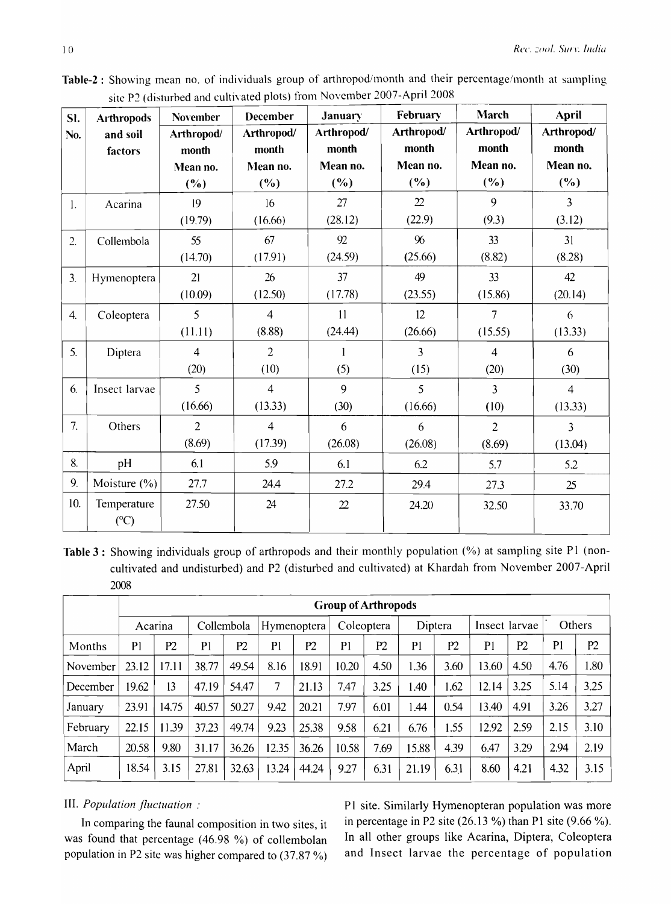| SI.              | <b>Arthropods</b>  | <b>November</b> | <b>December</b> | January        | February       | March          | <b>April</b><br>Arthropod/ |  |
|------------------|--------------------|-----------------|-----------------|----------------|----------------|----------------|----------------------------|--|
| No.              | and soil           | Arthropod/      | Arthropod/      | Arthropod/     | Arthropod/     | Arthropod/     |                            |  |
|                  | factors            | month           | month           | month          | month          | month          | month                      |  |
|                  |                    | Mean no.        | Mean no.        | Mean no.       | Mean no.       | Mean no.       | Mean no.                   |  |
|                  |                    | (%)             | (%)             | (%)            | (%)            | $(\%)$         | (%)                        |  |
| $\mathbf{1}$ .   | Acarina            | 19              | 16              | 27             | $\mathfrak{D}$ | 9              | $\overline{3}$             |  |
|                  |                    | (19.79)         | (16.66)         | (28.12)        | (22.9)         | (9.3)          | (3.12)                     |  |
| 2.               | Collembola         | 55              | 67              | 92             | %              | 33             | 31                         |  |
|                  |                    | (14.70)         | (17.91)         | (24.59)        | (25.66)        | (8.82)         | (8.28)                     |  |
| $\overline{3}$ . | Hymenoptera        | 21              | 26              | 37             | 49             | 33             | 42                         |  |
|                  |                    | (10.09)         | (12.50)         | (17.78)        | (23.55)        | (15.86)        | (20.14)                    |  |
| 4.               | Coleoptera         | $\overline{5}$  | $\overline{4}$  | 11             | 12             | $\overline{7}$ | 6                          |  |
|                  |                    | (11.11)         | (8.88)          | (24.44)        | (26.66)        | (15.55)        | (13.33)                    |  |
| 5.               | Diptera            | $\overline{4}$  | $\overline{2}$  | 1              | $\overline{3}$ | $\overline{4}$ | 6                          |  |
|                  |                    | (20)            | (10)            | (5)            | (15)           | (20)           | (30)                       |  |
| 6.               | Insect larvae      | 5               | $\overline{4}$  | 9              | 5              | 3              | $\overline{4}$             |  |
|                  |                    | (16.66)         | (13.33)         | (30)           | (16.66)        | (10)           | (13.33)                    |  |
| 7.               | Others             | $\overline{2}$  | $\overline{4}$  | 6              | 6              | $\overline{2}$ | $\overline{3}$             |  |
|                  |                    | (8.69)          | (17.39)         | (26.08)        | (26.08)        | (8.69)         | (13.04)                    |  |
| 8.               | pH                 | 6.1             | 5.9             | 6.1            | 6.2            | 5.7            | 5.2                        |  |
| 9.               | Moisture $(\% )$   | 27.7            | 24.4            | 27.2           | 29.4           | 27.3           | 25                         |  |
| 10.              | Temperature<br>(C) | 27.50           | 24              | $\mathfrak{D}$ | 24.20          | 32.50          | 33.70                      |  |

Table-2 : Showing mean no. of individuals group of arthropod/month and their percentage/month at sampling site P2 (disturbed and cultivated plots) from November 2007-April 2008

Table 3 : Showing individuals group of arthropods and their monthly population (%) at sampling site PI (noncultivated and undisturbed) and P2 (disturbed and cultivated) at Khardah from November 2007-April 2008

|          | <b>Group of Arthropods</b> |       |                |       |                |       |                |      |                |      |                |      |                |                |
|----------|----------------------------|-------|----------------|-------|----------------|-------|----------------|------|----------------|------|----------------|------|----------------|----------------|
|          | Acarina                    |       | Collembola     |       | Hymenoptera    |       | Coleoptera     |      | Diptera        |      | Insect larvae  |      | Others         |                |
| Months   | P1                         | P2    | P <sub>1</sub> | P2    | P <sub>1</sub> | P2    | P <sub>1</sub> | P2   | P <sub>1</sub> | P2   | P <sub>1</sub> | P2   | P <sub>1</sub> | P <sub>2</sub> |
| November | 23.12                      | 17.11 | 38.77          | 49.54 | 8.16           | 18.91 | 10.20          | 4.50 | 1.36           | 3.60 | 13.60          | 4.50 | 4.76           | 1.80           |
| December | 19.62                      | 13    | 47.19          | 54.47 | 7              | 21.13 | 7.47           | 3.25 | 1.40           | 1.62 | 12.14          | 3.25 | 5.14           | 3.25           |
| January  | 23.91                      | 14.75 | 40.57          | 50.27 | 9.42           | 20.21 | 7.97           | 6.01 | 1.44           | 0.54 | 13.40          | 4.91 | 3.26           | 3.27           |
| February | 22.15                      | 11.39 | 37.23          | 49.74 | 9.23           | 25.38 | 9.58           | 6.21 | 6.76           | 1.55 | 12.92          | 2.59 | 2.15           | 3.10           |
| March    | 20.58                      | 9.80  | 31.17          | 36.26 | 12.35          | 36.26 | 10.58          | 7.69 | 15.88          | 4.39 | 6.47           | 3.29 | 2.94           | 2.19           |
| April    | 18.54                      | 3.15  | 27.81          | 32.63 | 13.24          | 44.24 | 9.27           | 6.31 | 21.19          | 6.31 | 8.60           | 4.21 | 4.32           | 3.15           |

# III. *Population fluctuation :*

In comparing the faunal composition in two sites, it was found that percentage (46.98 %) of collembolan population in P2 site was higher compared to  $(37.87\%)$ 

P1 site. Similarly Hymenopteran population was more in percentage in P2 site  $(26.13\%)$  than P1 site  $(9.66\%)$ . In all other groups like Acarina, Diptera, Coleoptera and Insect larvae the percentage of population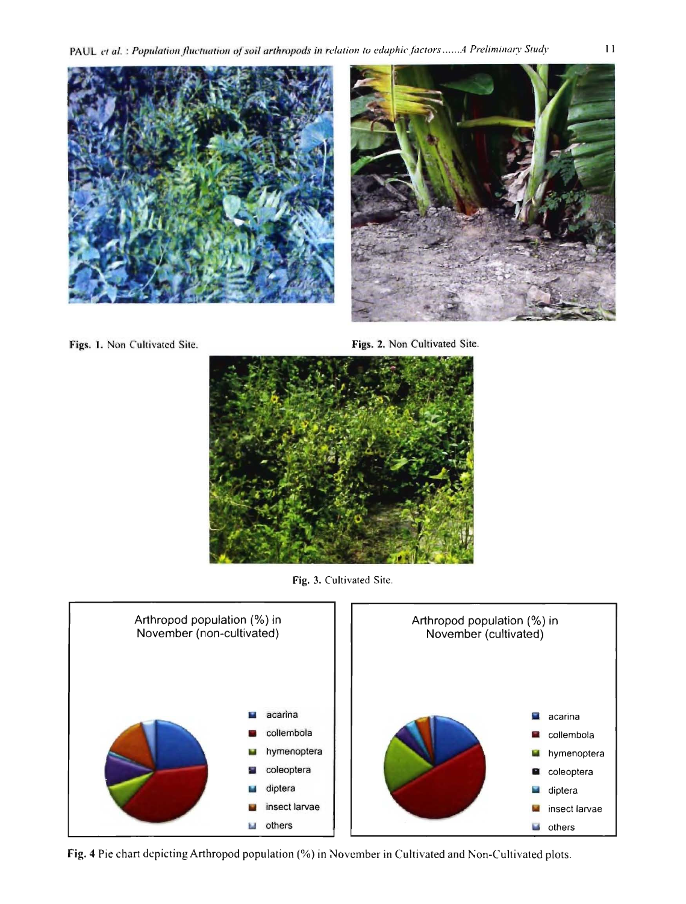PAUL et al. : Population fluctuation of soil arthropods in relation to edaphic factors ...... A Preliminary Study





Figs. 1. Non Cultivated Site.

Figs. 2. Non Cultivated Site.



Fig. 3. Cultivated Site.



Fig. 4 Pie chart depicting Arthropod population (%) in November in Cultivated and Non-Cultivated plots.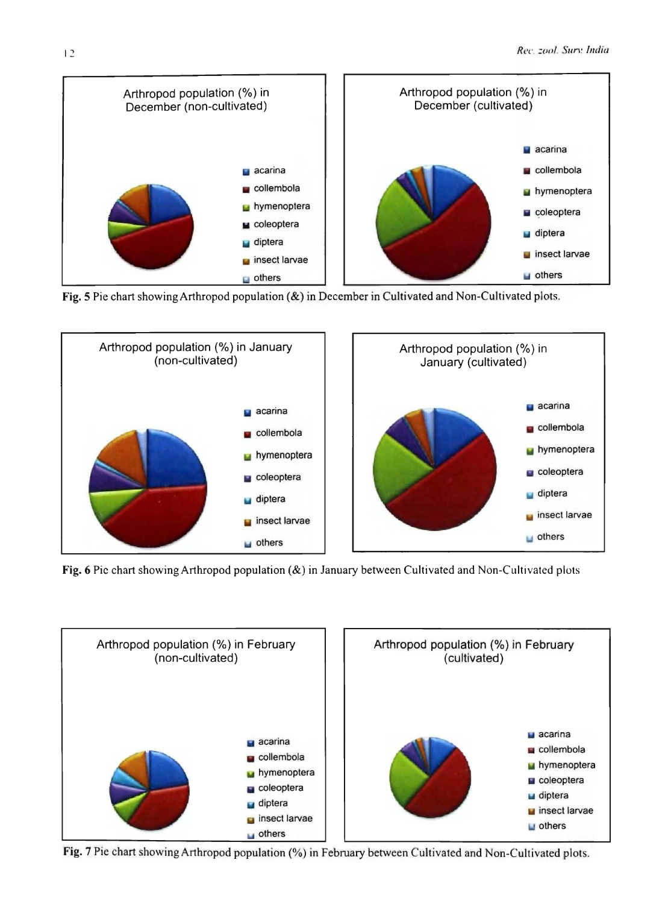

Fig. 5 Pie chart showing Arthropod population (&) in December in Cultivated and Non-Cultivated plots.



Fig. 6 Pic chart showing Arthropod population  $(x)$  in January between Cultivated and Non-Cultivated plots



Fig. 7 Pie chart showing Arthropod population (%) in February between Cultivated and Non-Cultivated plots.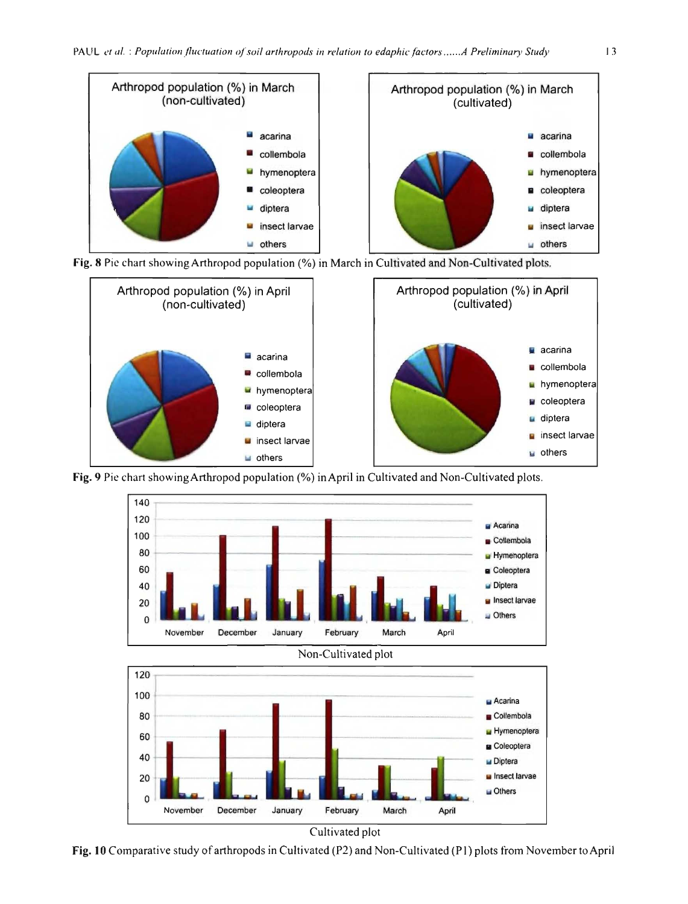





Fig. 9 Pie chart showing Arthropod population (%) in April in Cultivated and Non-Cultivated plots.







Cultivated plot

Fig. 10 Comparative study of arthropods in Cultivated (P2) and Non-Cultivated (P1) plots from November to April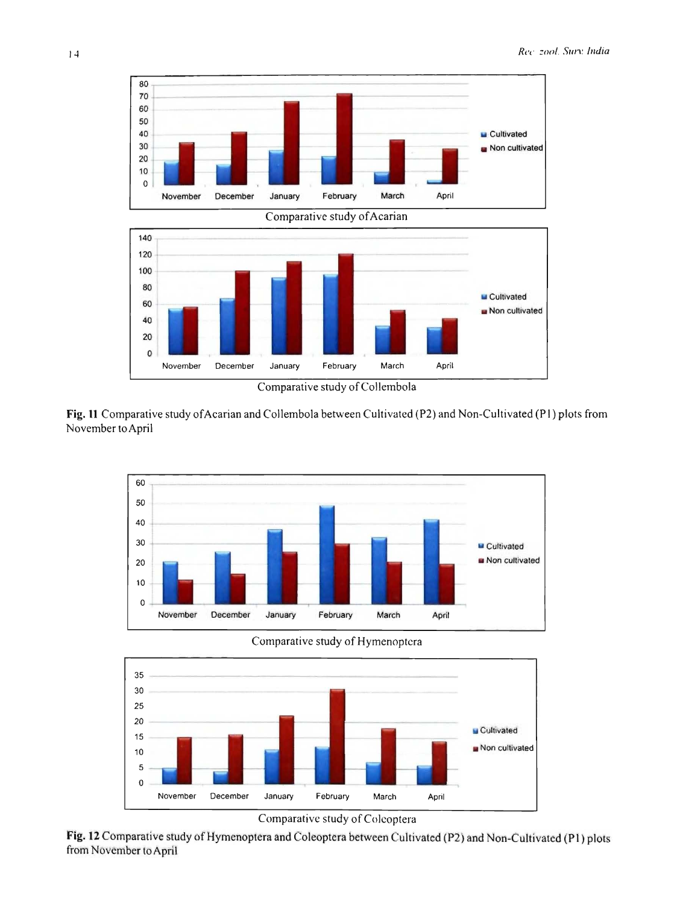



Comparative study of Collembola

Fig. 11 Comparative study of Acarian and Collembola between Cultivated (P2) and Non-Cultivated (P1) plots from November to April



Comparative study of Hymenoptera



Comparative study of Colcoptera

Fig. 12 Comparative study of Hymenoptera and Coleoptera between Cultivated (P2) and Non-Cultivated (P1) plots from November to April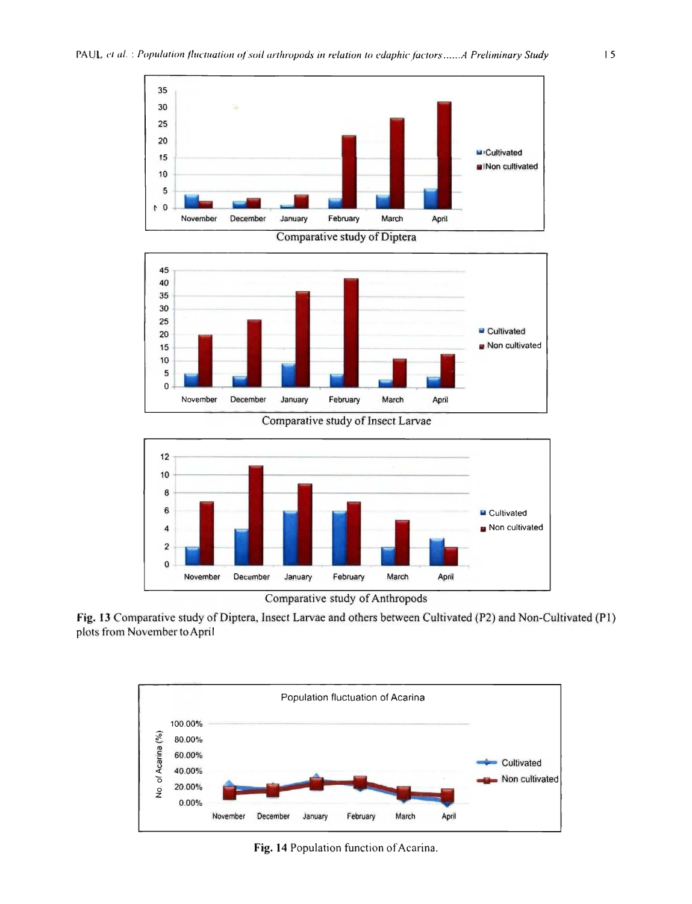



Comparative study of Insect Larvae



Comparative study of Anthropods





Fig. 14 Population function of Acarina.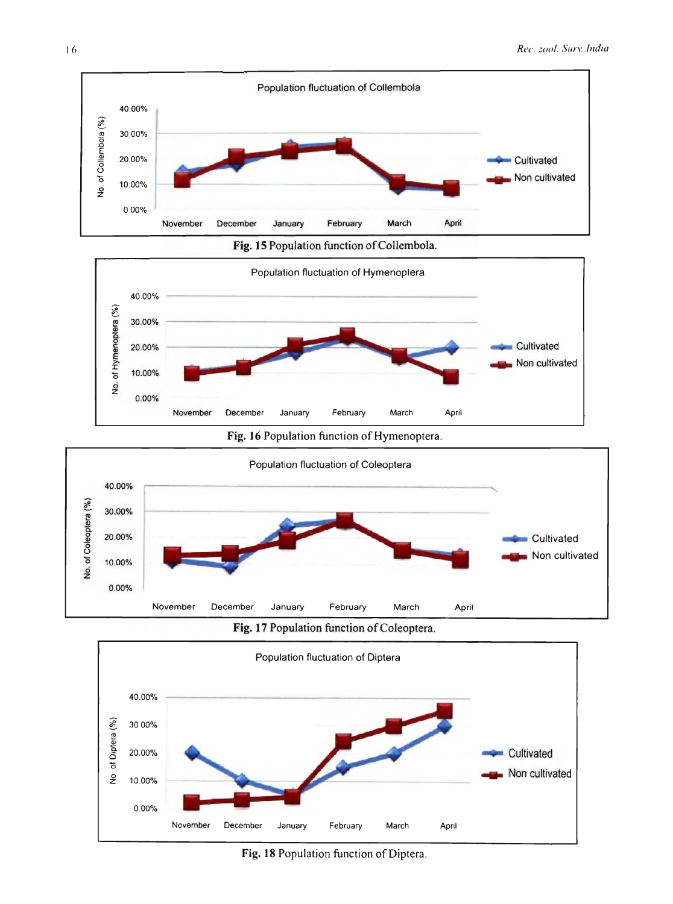











Fig. 18 Population function of Diptera.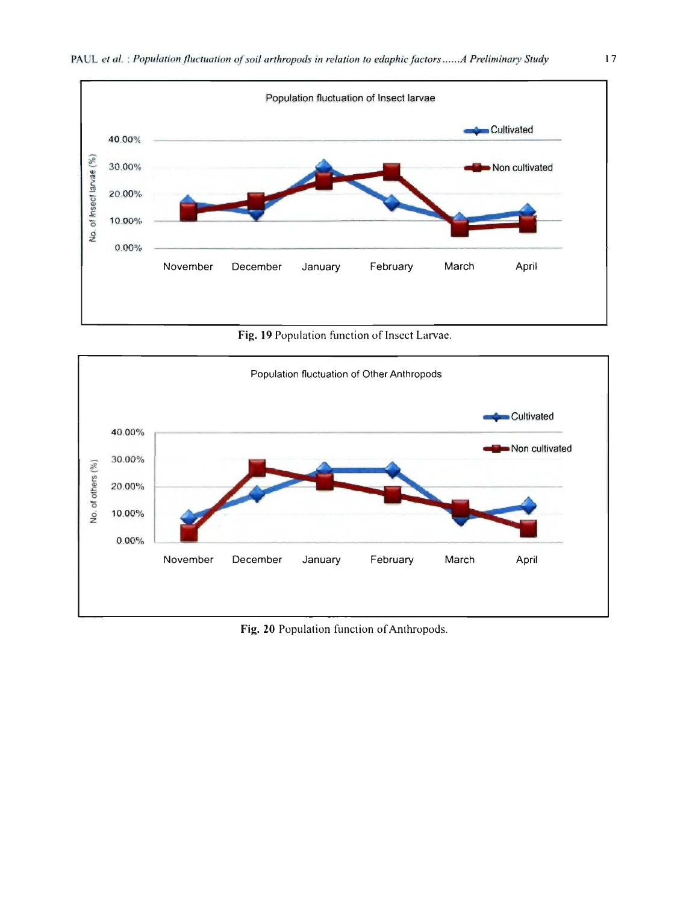

Fig. 19 Population function of Insect Larvae.



Fig. 20 Population function of Anthropods.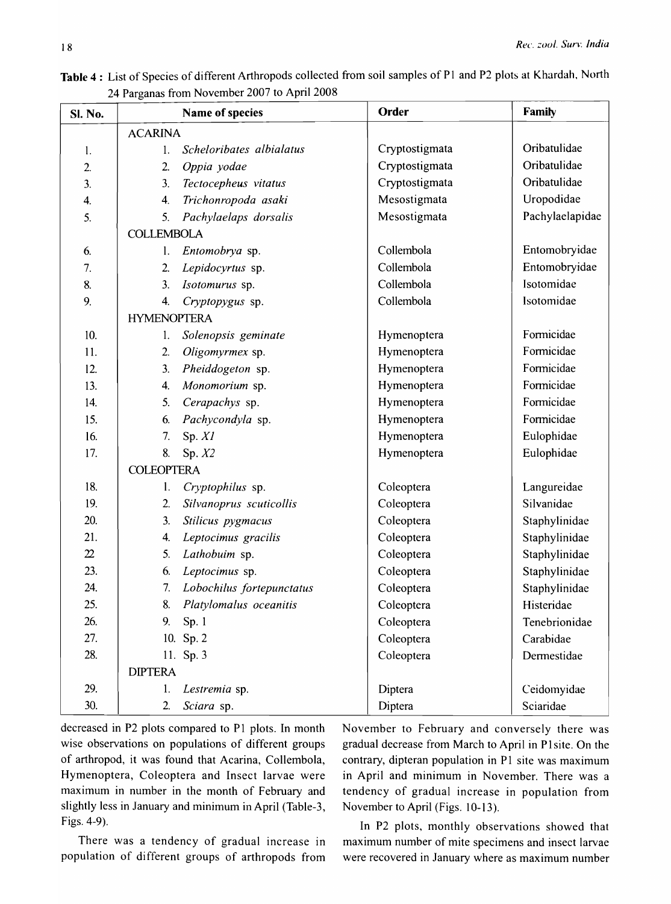| <b>SI. No.</b> |                    | Name of species           | Order          | <b>Family</b>   |
|----------------|--------------------|---------------------------|----------------|-----------------|
|                | <b>ACARINA</b>     |                           |                |                 |
| 1.             | 1.                 | Scheloribates albialatus  | Cryptostigmata | Oribatulidae    |
| 2.             | 2.                 | Oppia yodae               | Cryptostigmata | Oribatulidae    |
| 3.             | 3 <sub>1</sub>     | Tectocepheus vitatus      | Cryptostigmata | Oribatulidae    |
| 4.             | 4.                 | Trichonropoda asaki       | Mesostigmata   | Uropodidae      |
| 5.             | 5.                 | Pachylaelaps dorsalis     | Mesostigmata   | Pachylaelapidae |
|                | <b>COLLEMBOLA</b>  |                           |                |                 |
| 6.             | 1.                 | Entomobrya sp.            | Collembola     | Entomobryidae   |
| 7.             | 2.                 | Lepidocyrtus sp.          | Collembola     | Entomobryidae   |
| 8.             | 3.                 | Isotomurus sp.            | Collembola     | Isotomidae      |
| 9.             | 4.                 | Cryptopygus sp.           | Collembola     | Isotomidae      |
|                | <b>HYMENOPTERA</b> |                           |                |                 |
| 10.            | 1.                 | Solenopsis geminate       | Hymenoptera    | Formicidae      |
| 11.            | 2.                 | Oligomyrmex sp.           | Hymenoptera    | Formicidae      |
| 12.            | 3.                 | Pheiddogeton sp.          | Hymenoptera    | Formicidae      |
| 13.            | 4.                 | Monomorium sp.            | Hymenoptera    | Formicidae      |
| 14.            | 5.                 | Cerapachys sp.            | Hymenoptera    | Formicidae      |
| 15.            | 6.                 | Pachycondyla sp.          | Hymenoptera    | Formicidae      |
| 16.            | 7.                 | Sp. XI                    | Hymenoptera    | Eulophidae      |
| 17.            | 8.                 | Sp. $X2$                  | Hymenoptera    | Eulophidae      |
|                | <b>COLEOPTERA</b>  |                           |                |                 |
| 18.            | $\mathbf{l}$ .     | Cryptophilus sp.          | Coleoptera     | Langureidae     |
| 19.            | 2.                 | Silvanoprus scuticollis   | Coleoptera     | Silvanidae      |
| 20.            | 3.                 | Stilicus pygmacus         | Coleoptera     | Staphylinidae   |
| 21.            | 4.                 | Leptocimus gracilis       | Coleoptera     | Staphylinidae   |
| $22\,$         | 5 <sub>1</sub>     | Lathobuim sp.             | Coleoptera     | Staphylinidae   |
| 23             | 6.                 | Leptocimus sp.            | Coleoptera     | Staphylinidae   |
| 24.            | 7.                 | Lobochilus fortepunctatus | Coleoptera     | Staphylinidae   |
| 25.            | 8.                 | Platylomalus oceanitis    | Coleoptera     | Histeridae      |
| 26.            | 9.                 | Sp.1                      | Coleoptera     | Tenebrionidae   |
| 27.            |                    | 10. Sp. 2                 | Coleoptera     | Carabidae       |
| 28.            |                    | 11. Sp. 3                 | Coleoptera     | Dermestidae     |
|                | <b>DIPTERA</b>     |                           |                |                 |
| 29.            | 1.                 | Lestremia sp.             | Diptera        | Ceidomyidae     |
| 30.            | 2.                 | Sciara sp.                | Diptera        | Sciaridae       |

Table 4: List of Species of different Arthropods collected from soil samples of P1 and P2 plots at Khardah, North 24 Parganas from November 2007 to April 2008

decreased in P2 plots compared to PI plots. In month wise observations on populations of different groups of arthropod, it was found that Acarina, Collembola, Hymenoptera, Coleoptera and Insect larvae were maximum in number in the month of February and slightly less in January and minimum in April (Table-3, Figs. 4-9).

There was a tendency of gradual increase in population of different groups of arthropods from November to February and conversely there was gradual decrease from March to April in P1 site. On the contrary, dipteran population in PI site was maximum in April and minimum in November. There was a tendency of gradual increase in population from November to April (Figs. 10-13).

In P2 plots, monthly observations showed that maximum number of mite specimens and insect larvae were recovered in January where as maximum number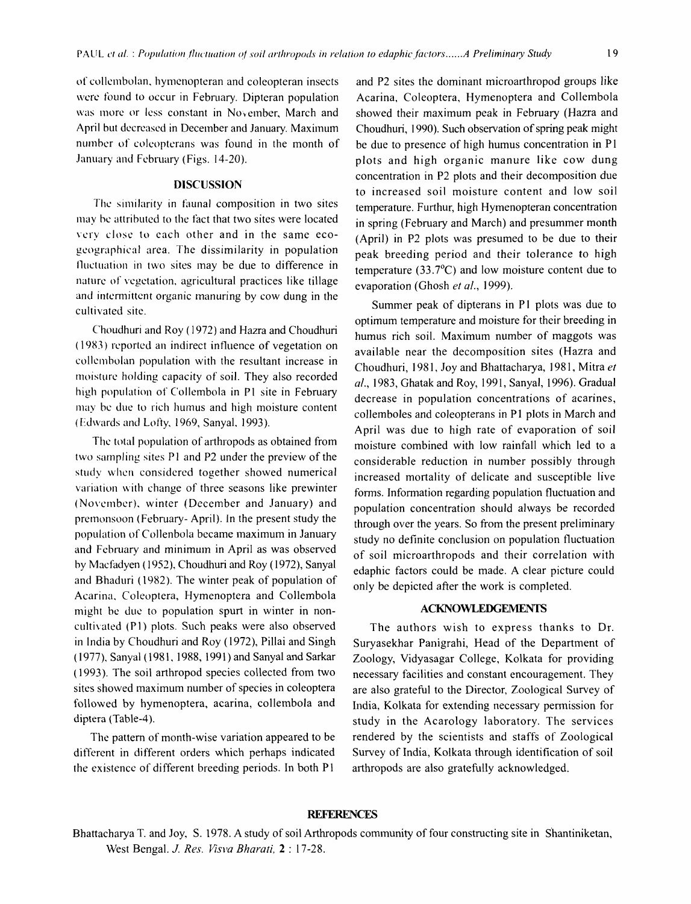of collembolan, hymenopteran and coleopteran insects were found to occur in Febmary. Dipteran population was more or less constant in November, March and April but decreased in December and January. Maximum number of coleopterans was found in the month of January and February (Figs. 14-20).

#### **DISCUSSION**

The similarity in faunal composition in two sites may he attributed to the fact that two sites were located very close to each other and in the same ecogeographical area. The dissimilarity in population fluctuation in two sites may be due to difference in nature of vegetation, agricultural practices like tillage and intermittent organic manuring by cow dung in the cultivated site.

Choudhuri and Roy (1972) and Hazra and Choudhuri (1983) reported an indirect influence of vegetation on collemholan population with the resultant increase in moisture holding capacity of soil. They also recorded high population of Collembola in P1 site in February may he due to rich humus and high moisture content (Edwards and Lofty, 1969, Sanyal. 1993).

The total population of arthropods as obtained from two sampling sites PI and P2 under the preview of the study when considered together showed numerical variation with change of three seasons like prewinter (November), winter (December and January) and premonsoon (Febmary- April). In the present study the population of Collenbola became maximum in January and Fehruary and minimum in April as was observed hy Macfadyen (1952), Choudhuri and Roy (1972), Sanyal and Bhaduri (1982). The winter peak of population of Acarina, Coleoptera, Hymenoptera and Collembola might he due to population spurt in winter in noncultivated (P1) plots. Such peaks were also observed in India by Choudhuri and Roy (1972), Pillai and Singh ( 1977), Sanyal ( 1981, 1988, (991) and Sanyal and Sarkar (1993). The soil arthropod species collected from two sites showed maximum number of species in coleoptera followed by hymenoptera, acarina, collembola and diptera (Table-4).

The pattern of month-wise variation appeared to be different in different orders which perhaps indicated the existence of different breeding periods. In both PI

and P2 sites the dominant microarthropod groups like Acarina, Coleoptera, Hymenoptera and Collembola showed their maximum peak in February (Hazra and Choudhuri, 1990). Such observation of spring peak might be due to presence of high humus concentration in PI plots and high organic manure like cow dung concentration in P2 plots and their decomposition due to increased soil moisture content and low soil temperature. Furthur, high Hymenopteran concentration in spring (February and March) and presummer month (April) in P2 plots was presumed to be due to their peak breeding period and their tolerance to high temperature (33.7°C) and low moisture content due to evaporation (Ghosh *et al., 1999).* 

Summer peak of dipterans in PI plots was due to optimum temperature and moisture for their breeding in humus rich soil. Maximum number of maggots was available near the decomposition sites (Hazra and Choudhuri, 1981, Joy and Bhattacharya, 1981, Mitra *et al.,* 1983, Ghatak and Roy, 1991, Sanyal, 1996). Gradual decrease in population concentrations of acarines, collemboles and coleopterans in PI plots in March and April was due to high rate of evaporation of soil moisture combined with low rainfall which led to a considerable reduction in number possibly through increased mortality of delicate and susceptible live forms. Information regarding population fluctuation and population concentration should always be recorded through over the years. So from the present preliminary study no definite conclusion on population fluctuation of soil microarthropods and their correlation with edaphic factors could be made. A clear picture could only be depicted after the work is completed.

#### **ACKNOWLEDGEMENTS**

The authors wish to express thanks to Dr. Suryasekhar Panigrahi, Head of the Department of Zoology, Vidyasagar College, Kolkata for providing necessary facilities and constant encouragement. They are also grateful to the Director, Zoological Survey of India, Kolkata for extending necessary permission for study in the Acarology laboratory. The services rendered by the scientists and staffs of Zoological Survey of India, Kolkata through identification of soil arthropods are also gratefully acknowledged.

## **REFERENCES**

Bhattacharya T. and Joy, S. 1978. A study of soil Arthropods community of four constructing site in Shantiniketan, West Bengal. 1. *Res. Visva Bharati,* 2 : 17-28.